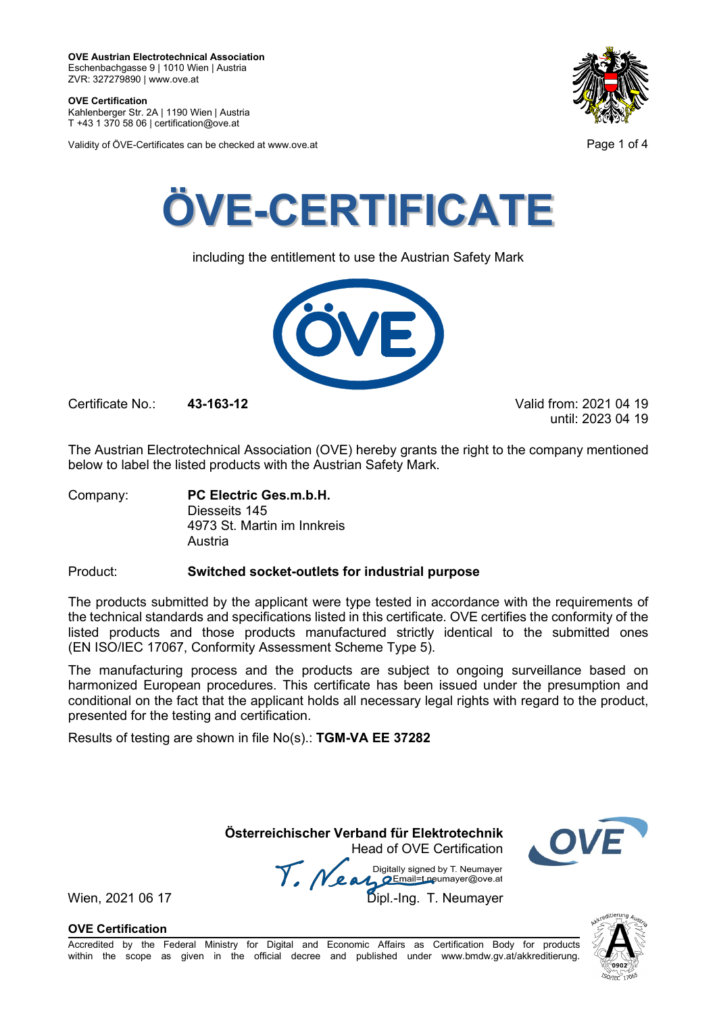**OVE Certification** Kahlenberger Str. 2A | 1190 Wien | Austria

T +43 1 370 58 06 | certification@ove.at

Validity of ÖVE-Certificates can be checked at www.ove.at **Page 1 of 4** Page 1 of 4





including the entitlement to use the Austrian Safety Mark



Certificate No.: **43-163-12** Valid from: 2021 04 19

until: 2023 04 19

The Austrian Electrotechnical Association (OVE) hereby grants the right to the company mentioned below to label the listed products with the Austrian Safety Mark.

Company: **PC Electric Ges.m.b.H.** Diesseits 145 4973 St. Martin im Innkreis Austria

## Product: **Switched socket-outlets for industrial purpose**

The products submitted by the applicant were type tested in accordance with the requirements of the technical standards and specifications listed in this certificate. OVE certifies the conformity of the listed products and those products manufactured strictly identical to the submitted ones (EN ISO/IEC 17067, Conformity Assessment Scheme Type 5).

The manufacturing process and the products are subject to ongoing surveillance based on harmonized European procedures. This certificate has been issued under the presumption and conditional on the fact that the applicant holds all necessary legal rights with regard to the product, presented for the testing and certification.

Results of testing are shown in file No(s).: **TGM-VA EE 37282**

**Österreichischer Verband für Elektrotechnik** Head of OVE Certification

Wien, 2021 06 17 Me and Digitally signed by Livedingy.<br>Wien, 2021 06 17 Dipl.-Ing. T. Neumayer Digitally signed by T. Neumayer



**OVE Certification**

Accredited by the Federal Ministry for Digital and Economic Affairs as Certification Body for products within the scope as given in the official decree and published under www.bmdw.gv.at/akkreditierung.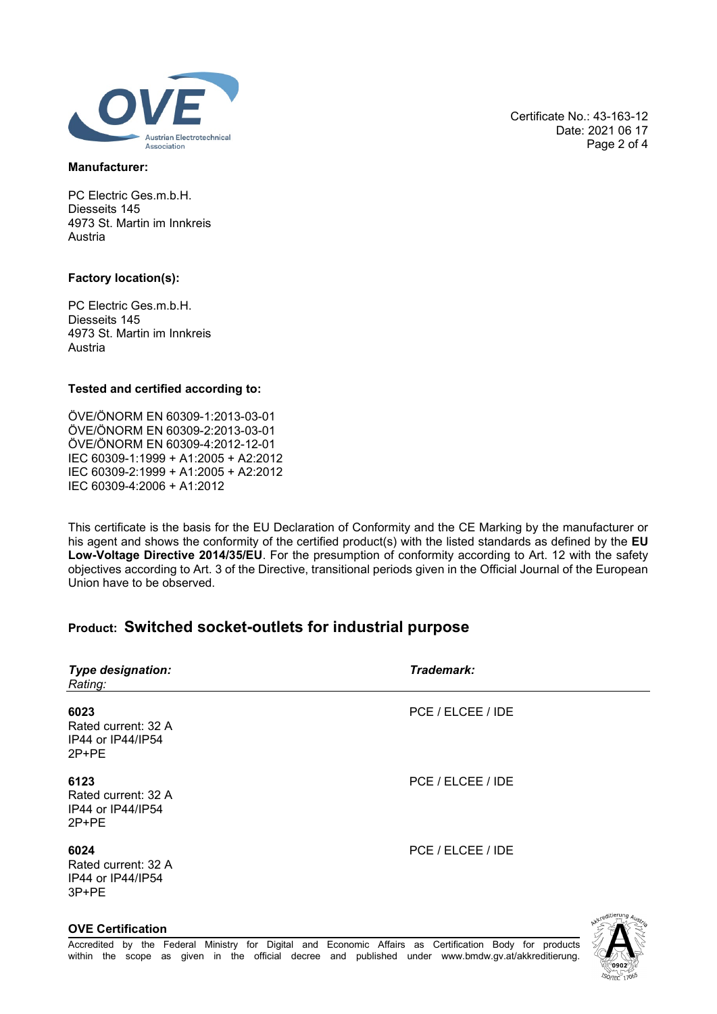

### **Manufacturer:**

PC Electric Ges.m.b.H. Diesseits 145 4973 St. Martin im Innkreis Austria

### **Factory location(s):**

PC Electric Ges.m.b.H. Diesseits 145 4973 St. Martin im Innkreis Austria

### **Tested and certified according to:**

ÖVE/ÖNORM EN 60309-1:2013-03-01 ÖVE/ÖNORM EN 60309-2:2013-03-01 ÖVE/ÖNORM EN 60309-4:2012-12-01 IEC 60309-1:1999 + A1:2005 + A2:2012 IEC 60309-2:1999 + A1:2005 + A2:2012 IEC 60309-4:2006 + A1:2012

This certificate is the basis for the EU Declaration of Conformity and the CE Marking by the manufacturer or his agent and shows the conformity of the certified product(s) with the listed standards as defined by the **EU Low-Voltage Directive 2014/35/EU**. For the presumption of conformity according to Art. 12 with the safety objectives according to Art. 3 of the Directive, transitional periods given in the Official Journal of the European Union have to be observed.

# **Product: Switched socket-outlets for industrial purpose**

| Type designation:<br>Rating:                              | Trademark:        |  |
|-----------------------------------------------------------|-------------------|--|
| 6023<br>Rated current: 32 A<br>IP44 or IP44/IP54<br>2P+PE | PCE / ELCEE / IDE |  |
| 6123<br>Rated current: 32 A<br>IP44 or IP44/IP54<br>2P+PE | PCE / ELCEE / IDE |  |
| 6024<br>Rated current: 32 A<br>IP44 or IP44/IP54<br>3P+PE | PCE / ELCEE / IDE |  |
|                                                           | weditierung Alle  |  |

Certificate No.: 43-163-12 Date: 2021 06 17 Page 2 of 4

### **OVE Certification**

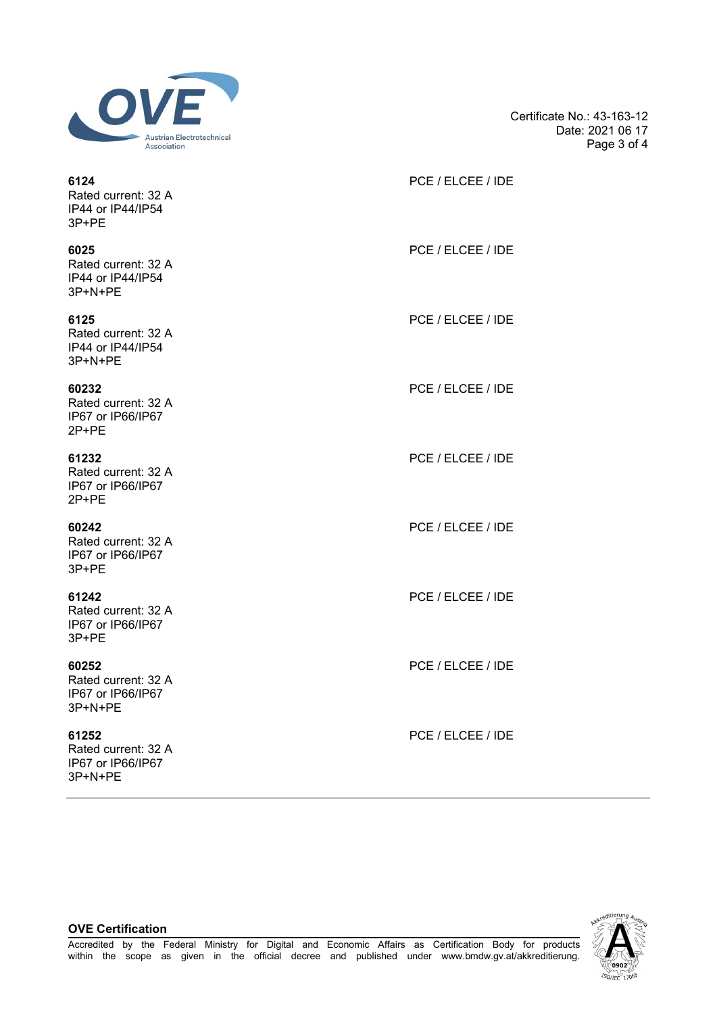

Certificate No.: 43-163-12 Date: 2021 06 17 Page 3 of 4

| 6124<br>Rated current: 32 A<br>IP44 or IP44/IP54<br>3P+PE    | PCE / ELCEE / IDE |
|--------------------------------------------------------------|-------------------|
| 6025<br>Rated current: 32 A<br>IP44 or IP44/IP54<br>3P+N+PE  | PCE / ELCEE / IDE |
| 6125<br>Rated current: 32 A<br>IP44 or IP44/IP54<br>3P+N+PE  | PCE / ELCEE / IDE |
| 60232<br>Rated current: 32 A<br>IP67 or IP66/IP67<br>2P+PE   | PCE / ELCEE / IDE |
| 61232<br>Rated current: 32 A<br>IP67 or IP66/IP67<br>2P+PE   | PCE / ELCEE / IDE |
| 60242<br>Rated current: 32 A<br>IP67 or IP66/IP67<br>3P+PE   | PCE / ELCEE / IDE |
| 61242<br>Rated current: 32 A<br>IP67 or IP66/IP67<br>3P+PE   | PCE / ELCEE / IDE |
| 60252<br>Rated current: 32 A<br>IP67 or IP66/IP67<br>3P+N+PE | PCE / ELCEE / IDE |
| 61252<br>Rated current: 32 A<br>IP67 or IP66/IP67            | PCE / ELCEE / IDE |

∕ ଉଉ2 **ISO/IEC 17065** 

### **OVE Certification**

3P+N+PE